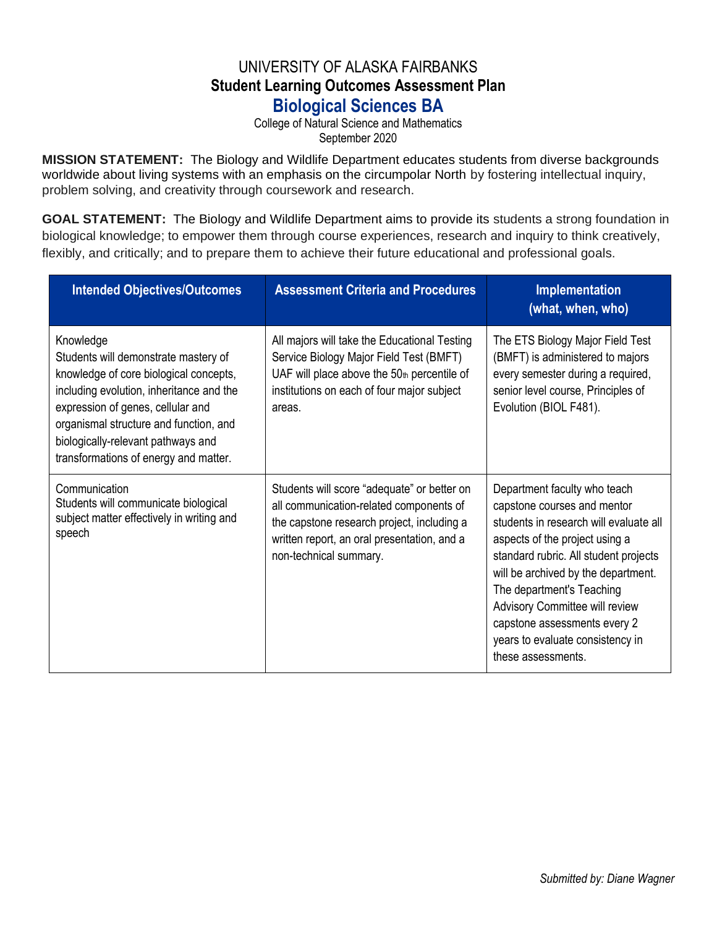## UNIVERSITY OF ALASKA FAIRBANKS **Student Learning Outcomes Assessment Plan Biological Sciences BA**

College of Natural Science and Mathematics September 2020

**MISSION STATEMENT:** The Biology and Wildlife Department educates students from diverse backgrounds worldwide about living systems with an emphasis on the circumpolar North by fostering intellectual inquiry, problem solving, and creativity through coursework and research.

**GOAL STATEMENT:** The Biology and Wildlife Department aims to provide its students a strong foundation in biological knowledge; to empower them through course experiences, research and inquiry to think creatively, flexibly, and critically; and to prepare them to achieve their future educational and professional goals.

| <b>Intended Objectives/Outcomes</b>                                                                                                                                                                                                                                                                   | <b>Assessment Criteria and Procedures</b>                                                                                                                                                                     | Implementation<br>(what, when, who)                                                                                                                                                                                                                                                                                                                                                     |
|-------------------------------------------------------------------------------------------------------------------------------------------------------------------------------------------------------------------------------------------------------------------------------------------------------|---------------------------------------------------------------------------------------------------------------------------------------------------------------------------------------------------------------|-----------------------------------------------------------------------------------------------------------------------------------------------------------------------------------------------------------------------------------------------------------------------------------------------------------------------------------------------------------------------------------------|
| Knowledge<br>Students will demonstrate mastery of<br>knowledge of core biological concepts,<br>including evolution, inheritance and the<br>expression of genes, cellular and<br>organismal structure and function, and<br>biologically-relevant pathways and<br>transformations of energy and matter. | All majors will take the Educational Testing<br>Service Biology Major Field Test (BMFT)<br>UAF will place above the $50th$ percentile of<br>institutions on each of four major subject<br>areas.              | The ETS Biology Major Field Test<br>(BMFT) is administered to majors<br>every semester during a required,<br>senior level course, Principles of<br>Evolution (BIOL F481).                                                                                                                                                                                                               |
| Communication<br>Students will communicate biological<br>subject matter effectively in writing and<br>speech                                                                                                                                                                                          | Students will score "adequate" or better on<br>all communication-related components of<br>the capstone research project, including a<br>written report, an oral presentation, and a<br>non-technical summary. | Department faculty who teach<br>capstone courses and mentor<br>students in research will evaluate all<br>aspects of the project using a<br>standard rubric. All student projects<br>will be archived by the department.<br>The department's Teaching<br><b>Advisory Committee will review</b><br>capstone assessments every 2<br>years to evaluate consistency in<br>these assessments. |